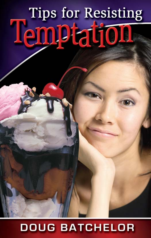# **Tips for Resisting** Temptation

# **DOUG BATCHELOR**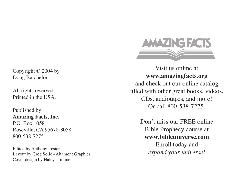Copyright © 2004 by Doug Batchelor

All rights reserved. Printed in the USA.

Published by: **Amazing Facts, Inc.** P.O. Box 1058 Roseville, CA 95678-8058 800-538-7275

Edited by Anthony Lester Layout by Greg Solie - Altamont Graphics Cover design by Haley Trimmer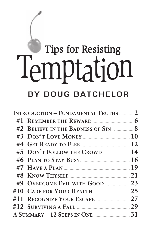# **Tips for Resisting** Temptation

#### **BY DOUG BATCHELOR**

| <b>INTRODUCTION - FUNDAMENTAL TRUTHS  2</b> |                                     |  |
|---------------------------------------------|-------------------------------------|--|
|                                             |                                     |  |
|                                             | #2 BELIEVE IN THE BADNESS OF SIN  8 |  |
|                                             |                                     |  |
|                                             |                                     |  |
|                                             | #5 DON'T FOLLOW THE CROWD  14       |  |
|                                             |                                     |  |
|                                             |                                     |  |
|                                             |                                     |  |
|                                             |                                     |  |
|                                             |                                     |  |
|                                             |                                     |  |
|                                             |                                     |  |
|                                             |                                     |  |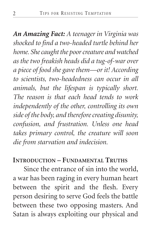*An Amazing Fact: A teenager in Virginia was shocked to find a two-headed turtle behind her home. She caught the poor creature and watched as the two freakish heads did a tug-of-war over a piece of food she gave them—or it! According to scientists, two-headedness can occur in all animals, but the lifespan is typically short. The reason is that each head tends to work independently of the other, controlling its own side of the body, and therefore creating disunity, confusion, and frustration. Unless one head takes primary control, the creature will soon die from starvation and indecision.*

#### **INTRODUCTION – FUNDAMENTAL TRUTHS**

Since the entrance of sin into the world, a war has been raging in every human heart between the spirit and the flesh. Every person desiring to serve God feels the battle between these two opposing masters. And Satan is always exploiting our physical and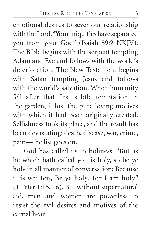emotional desires to sever our relationship with the Lord. "Your iniquities have separated you from your God" (Isaiah 59:2 NKJV). The Bible begins with the serpent tempting Adam and Eve and follows with the world's deterioration. The New Testament begins with Satan tempting Jesus and follows with the world's salvation. When humanity fell after that first subtle temptation in the garden, it lost the pure loving motives with which it had been originally created. Selfishness took its place, and the result has been devastating: death, disease, war, crime, pain—the list goes on.

God has called us to holiness. "But as he which hath called you is holy, so be ye holy in all manner of conversation; Because it is written, Be ye holy; for I am holy" (1 Peter 1:15, 16). But without supernatural aid, men and women are powerless to resist the evil desires and motives of the carnal heart.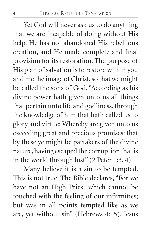Yet God will never ask us to do anything that we are incapable of doing without His help. He has not abandoned His rebellious creation, and He made complete and final provision for its restoration. The purpose of His plan of salvation is to restore within you and me the image of Christ, so that we might be called the sons of God. "According as his divine power hath given unto us all things that pertain unto life and godliness, through the knowledge of him that hath called us to glory and virtue: Whereby are given unto us exceeding great and precious promises: that by these ye might be partakers of the divine nature, having escaped the corruption that is in the world through lust" (2 Peter 1:3, 4).

Many believe it is a sin to be tempted. This is not true. The Bible declares, "For we have not an High Priest which cannot be touched with the feeling of our infirmities; but was in all points tempted like as we are, yet without sin" (Hebrews 4:15). Jesus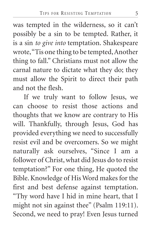was tempted in the wilderness, so it can't possibly be a sin to be tempted. Rather, it is a sin *to give into* temptation. Shakespeare wrote, "Tis one thing to be tempted, Another thing to fall." Christians must not allow the carnal nature to dictate what they do; they must allow the Spirit to direct their path and not the flesh.

If we truly want to follow Jesus, we can choose to resist those actions and thoughts that we know are contrary to His will. Thankfully, through Jesus, God has provided everything we need to successfully resist evil and be overcomers. So we might naturally ask ourselves, "Since I am a follower of Christ, what did Jesus do to resist temptation?" For one thing, He quoted the Bible. Knowledge of His Word makes for the first and best defense against temptation. "Thy word have I hid in mine heart, that I might not sin against thee" (Psalm 119:11). Second, we need to pray! Even Jesus turned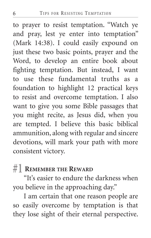to prayer to resist temptation. "Watch ye and pray, lest ye enter into temptation" (Mark 14:38). I could easily expound on just these two basic points, prayer and the Word, to develop an entire book about fighting temptation. But instead, I want to use these fundamental truths as a foundation to highlight 12 practical keys to resist and overcome temptation. I also want to give you some Bible passages that you might recite, as Jesus did, when you are tempted. I believe this basic biblical ammunition, along with regular and sincere devotions, will mark your path with more consistent victory.

#### **#1 REMEMBER THE REWARD**

"It's easier to endure the darkness when you believe in the approaching day."

I am certain that one reason people are so easily overcome by temptation is that they lose sight of their eternal perspective.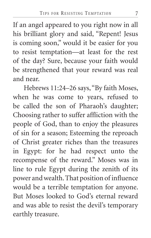If an angel appeared to you right now in all his brilliant glory and said, "Repent! Jesus is coming soon," would it be easier for you to resist temptation—at least for the rest of the day? Sure, because your faith would be strengthened that your reward was real and near.

Hebrews 11:24–26 says, "By faith Moses, when he was come to years, refused to be called the son of Pharaoh's daughter; Choosing rather to suffer affliction with the people of God, than to enjoy the pleasures of sin for a season; Esteeming the reproach of Christ greater riches than the treasures in Egypt: for he had respect unto the recompense of the reward." Moses was in line to rule Egypt during the zenith of its power and wealth. That position of influence would be a terrible temptation for anyone. But Moses looked to God's eternal reward and was able to resist the devil's temporary earthly treasure.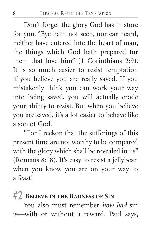Don't forget the glory God has in store for you. "Eye hath not seen, nor ear heard, neither have entered into the heart of man, the things which God hath prepared for them that love him" (1 Corinthians 2:9). It is so much easier to resist temptation if you believe you are really saved. If you mistakenly think you can work your way into being saved, you will actually erode your ability to resist. But when you believe you are saved, it's a lot easier to behave like a son of God.

"For I reckon that the sufferings of this present time are not worthy to be compared with the glory which shall be revealed in us" (Romans 8:18). It's easy to resist a jellybean when you know you are on your way to a feast!

#### **#2 BELIEVE IN THE BADNESS OF SIN**

You also must remember *how bad* sin is—with or without a reward. Paul says,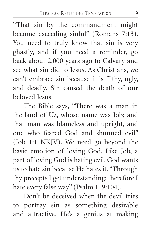"That sin by the commandment might become exceeding sinful" (Romans 7:13). You need to truly know that sin is very ghastly, and if you need a reminder, go back about 2,000 years ago to Calvary and see what sin did to Jesus. As Christians, we can't embrace sin because it is filthy, ugly, and deadly. Sin caused the death of our beloved Jesus.

The Bible says, "There was a man in the land of Uz, whose name was Job; and that man was blameless and upright, and one who feared God and shunned evil" (Job 1:1 NKJV). We need go beyond the basic emotion of loving God. Like Job, a part of loving God is hating evil. God wants us to hate sin because He hates it. "Through thy precepts I get understanding: therefore I hate every false way" (Psalm 119:104).

Don't be deceived when the devil tries to portray sin as something desirable and attractive. He's a genius at making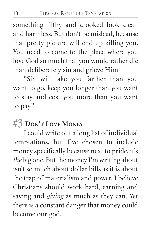something filthy and crooked look clean and harmless. But don't be mislead, because that pretty picture will end up killing you. You need to come to the place where you love God so much that you would rather die than deliberately sin and grieve Him.

"Sin will take you farther than you want to go, keep you longer than you want to stay and cost you more than you want to pay."

#### **#3 DON'T LOVE MONEY**

I could write out a long list of individual temptations, but I've chosen to include money specifically because next to pride, it's *the* big one. But the money I'm writing about isn't so much about dollar bills as it is about the trap of materialism and power. I believe Christians should work hard, earning and saving and *giving* as much as they can. Yet there is a constant danger that money could become our god.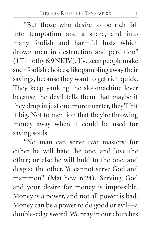"But those who desire to be rich fall into temptation and a snare, and into many foolish and harmful lusts which drown men in destruction and perdition" (1 Timothy 6:9 NKJV). I've seen people make such foolish choices, like gambling away their savings, because they want to get rich quick. They keep yanking the slot-machine lever because the devil tells them that maybe if they drop in just one more quarter, they'll hit it big. Not to mention that they're throwing money away when it could be used for saving souls.

"No man can serve two masters: for either he will hate the one, and love the other; or else he will hold to the one, and despise the other. Ye cannot serve God and mammon" (Matthew 6:24). Serving God and your desire for money is impossible. Money is a power, and not all power is bad. Money can be a power to do good or evil—a double-edge sword. We pray in our churches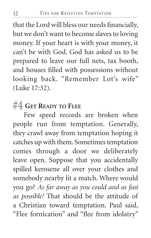that the Lord will bless our needs financially, but we don't want to become slaves to loving money. If your heart is with your money, it can't be with God. God has asked us to be prepared to leave our full nets, tax booth, and houses filled with possessions without looking back. "Remember Lot's wife" (Luke 17:32).

#### **#4 GET READY TO FLEE**

Few speed records are broken when people run from temptation. Generally, they crawl away from temptation hoping it catches up with them. Sometimes temptation comes through a door we deliberately leave open. Suppose that you accidentally spilled kerosene all over your clothes and somebody nearby lit a match. Where would you go? *As far away as you could and as fast as possible!* That should be the attitude of a Christian toward temptation. Paul said, "Flee fornication" and "flee from idolatry"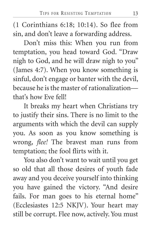(1 Corinthians 6:18; 10:14). So flee from sin, and don't leave a forwarding address.

Don't miss this: When you run from temptation, you head toward God. "Draw nigh to God, and he will draw nigh to you" (James 4:7). When you know something is sinful, don't engage or banter with the devil, because he is the master of rationalization that's how Eve fell!

It breaks my heart when Christians try to justify their sins. There is no limit to the arguments with which the devil can supply you. As soon as you know something is wrong, *flee!* The bravest man runs from temptation; the fool flirts with it.

You also don't want to wait until you get so old that all those desires of youth fade away and you deceive yourself into thinking you have gained the victory. "And desire fails. For man goes to his eternal home" (Ecclesiastes 12:5 NKJV). Your heart may still be corrupt. Flee now, actively. You must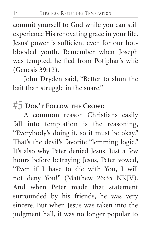commit yourself to God while you can still experience His renovating grace in your life. Jesus' power is sufficient even for our hotblooded youth. Remember when Joseph was tempted, he fled from Potiphar's wife (Genesis 39:12).

John Dryden said, "Better to shun the bait than struggle in the snare."

#### **#5 DON'T FOLLOW THE CROWD**

A common reason Christians easily fall into temptation is the reasoning, "Everybody's doing it, so it must be okay." That's the devil's favorite "lemming logic." It's also why Peter denied Jesus. Just a few hours before betraying Jesus, Peter vowed, "Even if I have to die with You, I will not deny You!" (Matthew 26:35 NKJV). And when Peter made that statement surrounded by his friends, he was very sincere. But when Jesus was taken into the judgment hall, it was no longer popular to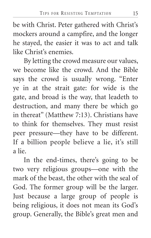be with Christ. Peter gathered with Christ's mockers around a campfire, and the longer he stayed, the easier it was to act and talk like Christ's enemies.

By letting the crowd measure our values, we become like the crowd. And the Bible says the crowd is usually wrong. "Enter ye in at the strait gate: for wide is the gate, and broad is the way, that leadeth to destruction, and many there be which go in thereat" (Matthew 7:13). Christians have to think for themselves. They must resist peer pressure—they have to be different. If a billion people believe a lie, it's still a lie.

In the end-times, there's going to be two very religious groups—one with the mark of the beast, the other with the seal of God. The former group will be the larger. Just because a large group of people is being religious, it does not mean its God's group. Generally, the Bible's great men and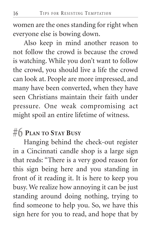women are the ones standing for right when everyone else is bowing down.

Also keep in mind another reason to not follow the crowd is because the crowd is watching. While you don't want to follow the crowd, you should live a life the crowd can look at. People are more impressed, and many have been converted, when they have seen Christians maintain their faith under pressure. One weak compromising act might spoil an entire lifetime of witness.

#### **#6 PLAN TO STAY BUSY**

Hanging behind the check-out register in a Cincinnati candle shop is a large sign that reads: "There is a very good reason for this sign being here and you standing in front of it reading it. It is here to keep you busy. We realize how annoying it can be just standing around doing nothing, trying to find someone to help you. So, we have this sign here for you to read, and hope that by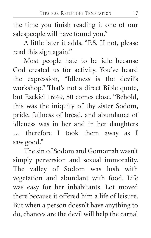the time you finish reading it one of our salespeople will have found you."

A little later it adds, "P.S. If not, please read this sign again."

Most people hate to be idle because God created us for activity. You've heard the expression, "Idleness is the devil's workshop." That's not a direct Bible quote, but Ezekiel 16:49, 50 comes close. "Behold, this was the iniquity of thy sister Sodom, pride, fullness of bread, and abundance of idleness was in her and in her daughters … therefore I took them away as I saw good."

The sin of Sodom and Gomorrah wasn't simply perversion and sexual immorality. The valley of Sodom was lush with vegetation and abundant with food. Life was easy for her inhabitants. Lot moved there because it offered him a life of leisure. But when a person doesn't have anything to do, chances are the devil will help the carnal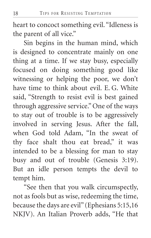heart to concoct something evil. "Idleness is the parent of all vice."

Sin begins in the human mind, which is designed to concentrate mainly on one thing at a time. If we stay busy, especially focused on doing something good like witnessing or helping the poor, we don't have time to think about evil. E. G. White said, "Strength to resist evil is best gained through aggressive service." One of the ways to stay out of trouble is to be aggressively involved in serving Jesus. After the fall, when God told Adam, "In the sweat of thy face shalt thou eat bread," it was intended to be a blessing for man to stay busy and out of trouble (Genesis 3:19). But an idle person tempts the devil to tempt him.

"See then that you walk circumspectly, not as fools but as wise, redeeming the time, because the days are evil" (Ephesians 5:15,16 NKJV). An Italian Proverb adds, "He that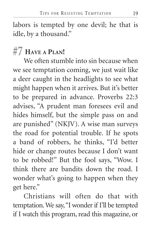labors is tempted by one devil; he that is idle, by a thousand."

## **#7 HAVE A PLAN!**

We often stumble into sin because when we see temptation coming, we just wait like a deer caught in the headlights to see what might happen when it arrives. But it's better to be prepared in advance. Proverbs 22:3 advises, "A prudent man foresees evil and hides himself, but the simple pass on and are punished" (NKJV). A wise man surveys the road for potential trouble. If he spots a band of robbers, he thinks, "I'd better hide or change routes because I don't want to be robbed!" But the fool says, "Wow. I think there are bandits down the road. I wonder what's going to happen when they get here."

Christians will often do that with temptation. We say, "I wonder if I'll be tempted if I watch this program, read this magazine, or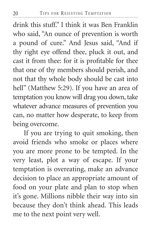drink this stuff." I think it was Ben Franklin who said, "An ounce of prevention is worth a pound of cure." And Jesus said, "And if thy right eye offend thee, pluck it out, and cast it from thee: for it is profitable for thee that one of thy members should perish, and not that thy whole body should be cast into hell" (Matthew 5:29). If you have an area of temptation you know will drag you down, take whatever advance measures of prevention you can, no matter how desperate, to keep from being overcome.

If you are trying to quit smoking, then avoid friends who smoke or places where you are more prone to be tempted. In the very least, plot a way of escape. If your temptation is overeating, make an advance decision to place an appropriate amount of food on your plate and plan to stop when it's gone. Millions nibble their way into sin because they don't think ahead. This leads me to the next point very well.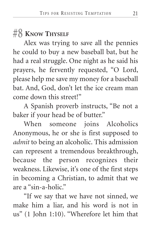#### **#8 KNOW THYSELF**

Alex was trying to save all the pennies he could to buy a new baseball bat, but he had a real struggle. One night as he said his prayers, he fervently requested, "O Lord, please help me save my money for a baseball bat. And, God, don't let the ice cream man come down this street!"

A Spanish proverb instructs, "Be not a baker if your head be of butter."

When someone joins Alcoholics Anonymous, he or she is first supposed to *admit* to being an alcoholic. This admission can represent a tremendous breakthrough, because the person recognizes their weakness. Likewise, it's one of the first steps in becoming a Christian, to admit that we are a "sin-a-holic."

"If we say that we have not sinned, we make him a liar, and his word is not in us" (1 John 1:10). "Wherefore let him that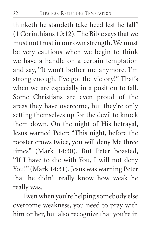thinketh he standeth take heed lest he fall" (1 Corinthians 10:12). The Bible says that we must not trust in our own strength. We must be very cautious when we begin to think we have a handle on a certain temptation and say, "It won't bother me anymore. I'm strong enough. I've got the victory!" That's when we are especially in a position to fall. Some Christians are even proud of the areas they have overcome, but they're only setting themselves up for the devil to knock them down. On the night of His betrayal, Jesus warned Peter: "This night, before the rooster crows twice, you will deny Me three times" (Mark 14:30). But Peter boasted, "If I have to die with You, I will not deny You!" (Mark 14:31). Jesus was warning Peter that he didn't really know how weak he really was.

Even when you're helping somebody else overcome weakness, you need to pray with him or her, but also recognize that you're in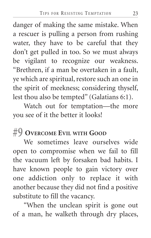danger of making the same mistake. When a rescuer is pulling a person from rushing water, they have to be careful that they don't get pulled in too. So we must always be vigilant to recognize our weakness. "Brethren, if a man be overtaken in a fault, ye which are spiritual, restore such an one in the spirit of meekness; considering thyself, lest thou also be tempted" (Galatians 6:1).

Watch out for temptation—the more you see of it the better it looks!

#### **#9 OVERCOME EVIL WITH GOOD**

We sometimes leave ourselves wide open to compromise when we fail to fill the vacuum left by forsaken bad habits. I have known people to gain victory over one addiction only to replace it with another because they did not find a positive substitute to fill the vacancy.

"When the unclean spirit is gone out of a man, he walketh through dry places,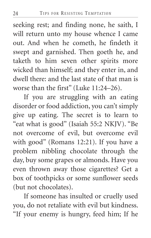seeking rest; and finding none, he saith, I will return unto my house whence I came out. And when he cometh, he findeth it swept and garnished. Then goeth he, and taketh to him seven other spirits more wicked than himself; and they enter in, and dwell there: and the last state of that man is worse than the first" (Luke 11:24–26).

If you are struggling with an eating disorder or food addiction, you can't simply give up eating. The secret is to learn to "eat what is good" (Isaiah 55:2 NKJV). "Be not overcome of evil, but overcome evil with good" (Romans 12:21). If you have a problem nibbling chocolate through the day, buy some grapes or almonds. Have you even thrown away those cigarettes? Get a box of toothpicks or some sunflower seeds (but not chocolates).

If someone has insulted or cruelly used you, do not retaliate with evil but kindness. "If your enemy is hungry, feed him; If he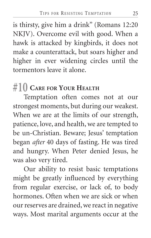is thirsty, give him a drink" (Romans 12:20 NKJV). Overcome evil with good. When a hawk is attacked by kingbirds, it does not make a counterattack, but soars higher and higher in ever widening circles until the tormentors leave it alone.

## **#10 CARE FOR YOUR HEALTH**

Temptation often comes not at our strongest moments, but during our weakest. When we are at the limits of our strength, patience, love, and health, we are tempted to be un-Christian. Beware; Jesus' temptation began *after* 40 days of fasting. He was tired and hungry. When Peter denied Jesus, he was also very tired.

Our ability to resist basic temptations might be greatly influenced by everything from regular exercise, or lack of, to body hormones. Often when we are sick or when our reserves are drained, we react in negative ways. Most marital arguments occur at the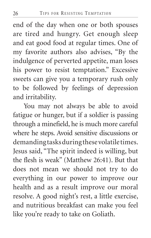end of the day when one or both spouses are tired and hungry. Get enough sleep and eat good food at regular times. One of my favorite authors also advises, "By the indulgence of perverted appetite, man loses his power to resist temptation." Excessive sweets can give you a temporary rush only to be followed by feelings of depression and irritability.

You may not always be able to avoid fatigue or hunger, but if a soldier is passing through a minefield, he is much more careful where he steps. Avoid sensitive discussions or demanding tasks during these volatile times. Jesus said, "The spirit indeed is willing, but the flesh is weak" (Matthew 26:41). But that does not mean we should not try to do everything in our power to improve our health and as a result improve our moral resolve. A good night's rest, a little exercise, and nutritious breakfast can make you feel like you're ready to take on Goliath.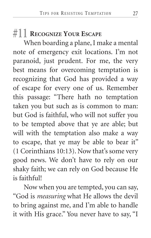#### **#11 RECOGNIZE YOUR ESCAPE**

When boarding a plane, I make a mental note of emergency exit locations. I'm not paranoid, just prudent. For me, the very best means for overcoming temptation is recognizing that God has provided a way of escape for every one of us. Remember this passage: "There hath no temptation taken you but such as is common to man: but God is faithful, who will not suffer you to be tempted above that ye are able; but will with the temptation also make a way to escape, that ye may be able to bear it" (1 Corinthians 10:13). Now that's some very good news. We don't have to rely on our shaky faith; we can rely on God because He is faithful!

Now when you are tempted, you can say, "God is *measuring* what He allows the devil to bring against me, and I'm able to handle it with His grace." You never have to say, "I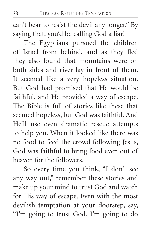can't bear to resist the devil any longer." By saying that, you'd be calling God a liar!

The Egyptians pursued the children of Israel from behind, and as they fled they also found that mountains were on both sides and river lay in front of them. It seemed like a very hopeless situation. But God had promised that He would be faithful, and He provided a way of escape. The Bible is full of stories like these that seemed hopeless, but God was faithful. And He'll use even dramatic rescue attempts to help you. When it looked like there was no food to feed the crowd following Jesus, God was faithful to bring food even out of heaven for the followers.

So every time you think, "I don't see any way out," remember these stories and make up your mind to trust God and watch for His way of escape. Even with the most devilish temptation at your doorstep, say, "I'm going to trust God. I'm going to do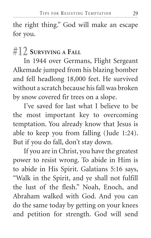the right thing." God will make an escape for you.

# **#12 SURVIVING A FALL**

In 1944 over Germans, Flight Sergeant Alkemade jumped from his blazing bomber and fell headlong 18,000 feet. He survived without a scratch because his fall was broken by snow covered fir trees on a slope.

I've saved for last what I believe to be the most important key to overcoming temptation. You already know that Jesus is able to keep you from falling (Jude 1:24). But if you do fall, don't stay down.

If you are in Christ, you have the greatest power to resist wrong. To abide in Him is to abide in His Spirit. Galatians 5:16 says, "Walk in the Spirit, and ye shall not fulfill the lust of the flesh." Noah, Enoch, and Abraham walked with God. And you can do the same today by getting on your knees and petition for strength. God will send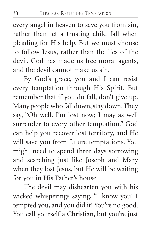every angel in heaven to save you from sin, rather than let a trusting child fall when pleading for His help. But we must choose to follow Jesus, rather than the lies of the devil. God has made us free moral agents, and the devil cannot make us sin.

By God's grace, you and I can resist every temptation through His Spirit. But remember that if you do fall, don't give up. Many people who fall down, stay down. They say, "Oh well. I'm lost now; I may as well surrender to every other temptation." God can help you recover lost territory, and He will save you from future temptations. You might need to spend three days sorrowing and searching just like Joseph and Mary when they lost Jesus, but He will be waiting for you in His Father's house.

The devil may dishearten you with his wicked whisperings saying, "I know you! I tempted you, and you did it! You're no good. You call yourself a Christian, but you're just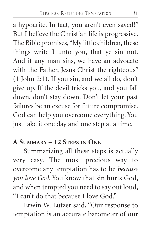a hypocrite. In fact, you aren't even saved!" But I believe the Christian life is progressive. The Bible promises, "My little children, these things write I unto you, that ye sin not. And if any man sins, we have an advocate with the Father, Jesus Christ the righteous" (1 John 2:1). If you sin, and we all do, don't give up. If the devil tricks you, and you fall down, don't stay down. Don't let your past failures be an excuse for future compromise. God can help you overcome everything. You just take it one day and one step at a time.

#### **A SUMMARY – 12 STEPS IN ONE**

Summarizing all these steps is actually very easy. The most precious way to overcome any temptation has to be *because you love God*. You know that sin hurts God, and when tempted you need to say out loud, "I can't do that because I love God."

Erwin W. Lutzer said, "Our response to temptation is an accurate barometer of our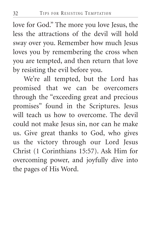love for God." The more you love Jesus, the less the attractions of the devil will hold sway over you. Remember how much Jesus loves you by remembering the cross when you are tempted, and then return that love by resisting the evil before you.

We're all tempted, but the Lord has promised that we can be overcomers through the "exceeding great and precious promises" found in the Scriptures. Jesus will teach us how to overcome. The devil could not make Jesus sin, nor can he make us. Give great thanks to God, who gives us the victory through our Lord Jesus Christ (1 Corinthians 15:57). Ask Him for overcoming power, and joyfully dive into the pages of His Word.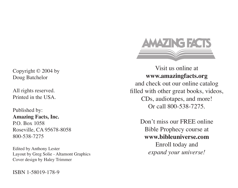

Visit us online at **www.amazingfacts.org** and check out our online catalog filled with other great books, videos, CDs, audiotapes, and more! Or call 800-538-7275.

> Don't miss our FREE online Bible Prophecy course at **www.bibleuniverse.com** Enroll today and *expand your universe!*